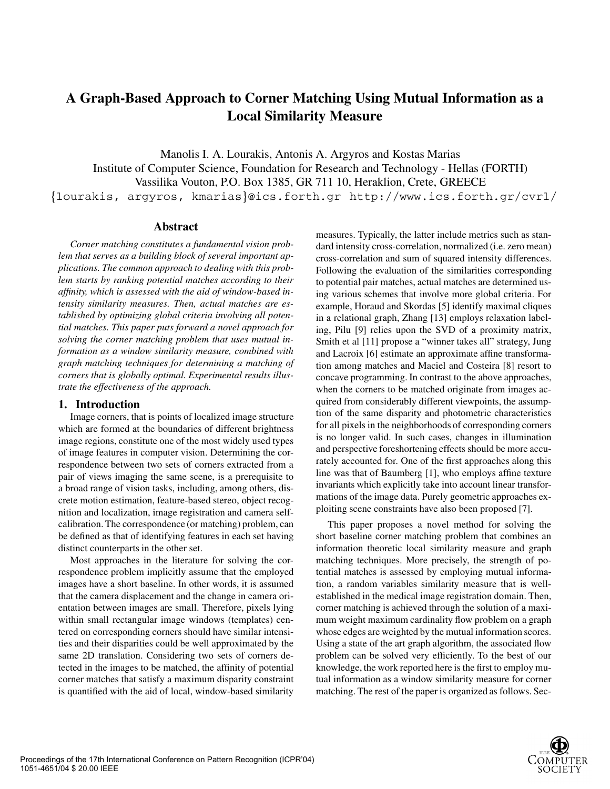# **A Graph-Based Approach to Corner Matching Using Mutual Information as a Local Similarity Measure**

Manolis I. A. Lourakis, Antonis A. Argyros and Kostas Marias Institute of Computer Science, Foundation for Research and Technology - Hellas (FORTH) Vassilika Vouton, P.O. Box 1385, GR 711 10, Heraklion, Crete, GREECE lourakis, argyros, kmarias@ics.forth.gr http://www.ics.forth.gr/cvrl/

### **Abstract**

*Corner matching constitutes a fundamental vision problem that serves as a building block of several important applications. The common approach to dealing with this problem starts by ranking potential matches according to their affinity, which is assessed with the aid of window-based intensity similarity measures. Then, actual matches are established by optimizing global criteria involving all potential matches. This paper puts forward a novel approach for solving the corner matching problem that uses mutual information as a window similarity measure, combined with graph matching techniques for determining a matching of corners that is globally optimal. Experimental results illustrate the effectiveness of the approach.*

# **1. Introduction**

Image corners, that is points of localized image structure which are formed at the boundaries of different brightness image regions, constitute one of the most widely used types of image features in computer vision. Determining the correspondence between two sets of corners extracted from a pair of views imaging the same scene, is a prerequisite to a broad range of vision tasks, including, among others, discrete motion estimation, feature-based stereo, object recognition and localization, image registration and camera selfcalibration. The correspondence (or matching) problem, can be defined as that of identifying features in each set having distinct counterparts in the other set.

Most approaches in the literature for solving the correspondence problem implicitly assume that the employed images have a short baseline. In other words, it is assumed that the camera displacement and the change in camera orientation between images are small. Therefore, pixels lying within small rectangular image windows (templates) centered on corresponding corners should have similar intensities and their disparities could be well approximated by the same 2D translation. Considering two sets of corners detected in the images to be matched, the affinity of potential corner matches that satisfy a maximum disparity constraint is quantified with the aid of local, window-based similarity

measures. Typically, the latter include metrics such as standard intensity cross-correlation, normalized (i.e. zero mean) cross-correlation and sum of squared intensity differences. Following the evaluation of the similarities corresponding to potential pair matches, actual matches are determined using various schemes that involve more global criteria. For example, Horaud and Skordas [5] identify maximal cliques in a relational graph, Zhang [13] employs relaxation labeling, Pilu [9] relies upon the SVD of a proximity matrix, Smith et al [11] propose a "winner takes all" strategy, Jung and Lacroix [6] estimate an approximate affine transformation among matches and Maciel and Costeira [8] resort to concave programming. In contrast to the above approaches, when the corners to be matched originate from images acquired from considerably different viewpoints, the assumption of the same disparity and photometric characteristics for all pixels in the neighborhoods of corresponding corners is no longer valid. In such cases, changes in illumination and perspective foreshortening effects should be more accurately accounted for. One of the first approaches along this line was that of Baumberg [1], who employs affine texture invariants which explicitly take into account linear transformations of the image data. Purely geometric approaches exploiting scene constraints have also been proposed [7].

This paper proposes a novel method for solving the short baseline corner matching problem that combines an information theoretic local similarity measure and graph matching techniques. More precisely, the strength of potential matches is assessed by employing mutual information, a random variables similarity measure that is wellestablished in the medical image registration domain. Then, corner matching is achieved through the solution of a maximum weight maximum cardinality flow problem on a graph whose edges are weighted by the mutual information scores. Using a state of the art graph algorithm, the associated flow problem can be solved very efficiently. To the best of our knowledge, the work reported here is the first to employ mutual information as a window similarity measure for corner matching. The rest of the paper is organized as follows. Sec-

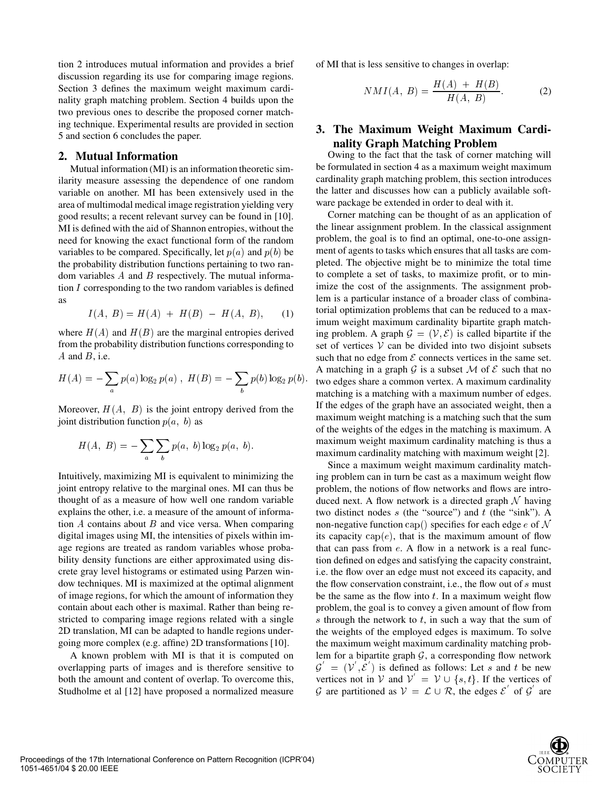tion 2 introduces mutual information and provides a brief discussion regarding its use for comparing image regions. Section 3 defines the maximum weight maximum cardinality graph matching problem. Section 4 builds upon the two previous ones to describe the proposed corner matching technique. Experimental results are provided in section 5 and section 6 concludes the paper.

### **2. Mutual Information**

Mutual information (MI) is an information theoretic similarity measure assessing the dependence of one random variable on another. MI has been extensively used in the area of multimodal medical image registration yielding very good results; a recent relevant survey can be found in [10]. MI is defined with the aid of Shannon entropies, without the need for knowing the exact functional form of the random variables to be compared. Specifically, let  $p(a)$  and  $p(b)$  be the probability distribution functions pertaining to two random variables  $A$  and  $B$  respectively. The mutual information  $I$  corresponding to the two random variables is defined as

$$
I(A, B) = H(A) + H(B) - H(A, B), \quad (1)
$$

where  $H(A)$  and  $H(B)$  are the marginal entropies derived from the probability distribution functions corresponding to  $A$  and  $B$ , i.e.

$$
H(A) = -\sum_{a} p(a) \log_2 p(a) , H(B) = -\sum_{b} p(b) \log_2 p(b).
$$

Moreover,  $H(A, B)$  is the joint entropy derived from the joint distribution function  $p(a, b)$  as

$$
H(A, B) = -\sum_{a} \sum_{b} p(a, b) \log_2 p(a, b).
$$

Intuitively, maximizing MI is equivalent to minimizing the joint entropy relative to the marginal ones. MI can thus be thought of as a measure of how well one random variable explains the other, i.e. a measure of the amount of information  $A$  contains about  $B$  and vice versa. When comparing digital images using MI, the intensities of pixels within image regions are treated as random variables whose probability density functions are either approximated using discrete gray level histograms or estimated using Parzen window techniques. MI is maximized at the optimal alignment of image regions, for which the amount of information they contain about each other is maximal. Rather than being restricted to comparing image regions related with a single 2D translation, MI can be adapted to handle regions undergoing more complex (e.g. affine) 2D transformations [10].

A known problem with MI is that it is computed on overlapping parts of images and is therefore sensitive to both the amount and content of overlap. To overcome this, Studholme et al [12] have proposed a normalized measure

of MI that is less sensitive to changes in overlap:

$$
NMI(A, B) = \frac{H(A) + H(B)}{H(A, B)}.
$$
 (2)

# **3. The Maximum Weight Maximum Cardinality Graph Matching Problem**

Owing to the fact that the task of corner matching will be formulated in section 4 as a maximum weight maximum cardinality graph matching problem, this section introduces the latter and discusses how can a publicly available software package be extended in order to deal with it.

 $-\sum p(b) \log_2 p(b)$ . two edges share a common vertex. A maximum cardinality Corner matching can be thought of as an application of the linear assignment problem. In the classical assignment problem, the goal is to find an optimal, one-to-one assignment of agents to tasks which ensures that all tasks are completed. The objective might be to minimize the total time to complete a set of tasks, to maximize profit, or to minimize the cost of the assignments. The assignment problem is a particular instance of a broader class of combinatorial optimization problems that can be reduced to a maximum weight maximum cardinality bipartite graph matching problem. A graph  $\mathcal{G} = (\mathcal{V}, \mathcal{E})$  is called bipartite if the set of vertices  $V$  can be divided into two disjoint subsets such that no edge from  $\mathcal E$  connects vertices in the same set. A matching in a graph G is a subset M of  $\mathcal E$  such that no matching is a matching with a maximum number of edges. If the edges of the graph have an associated weight, then a maximum weight matching is a matching such that the sum of the weights of the edges in the matching is maximum. A maximum weight maximum cardinality matching is thus a maximum cardinality matching with maximum weight [2].

> Since a maximum weight maximum cardinality matching problem can in turn be cast as a maximum weight flow problem, the notions of flow networks and flows are introduced next. A flow network is a directed graph  $\mathcal N$  having two distinct nodes  $s$  (the "source") and  $t$  (the "sink"). A non-negative function cap() specifies for each edge  $e$  of  $\mathcal N$ its capacity  $cap(e)$ , that is the maximum amount of flow that can pass from  $e$ . A flow in a network is a real function defined on edges and satisfying the capacity constraint, i.e. the flow over an edge must not exceed its capacity, and the flow conservation constraint, i.e., the flow out of  $s$  must be the same as the flow into  $t$ . In a maximum weight flow problem, the goal is to convey a given amount of flow from s through the network to  $t$ , in such a way that the sum of the weights of the employed edges is maximum. To solve the maximum weight maximum cardinality matching problem for a bipartite graph  $G$ , a corresponding flow network  $\mathcal{G} = (\mathcal{V}, \mathcal{E})$  is defined as follows: Let s and t be new vertices not in V and  $V = V \cup \{s, t\}$ . If the vertices of G are partitioned as  $V = \mathcal{L} \cup \mathcal{R}$ , the edges  $\mathcal{E}$  of  $\mathcal{G}$  are

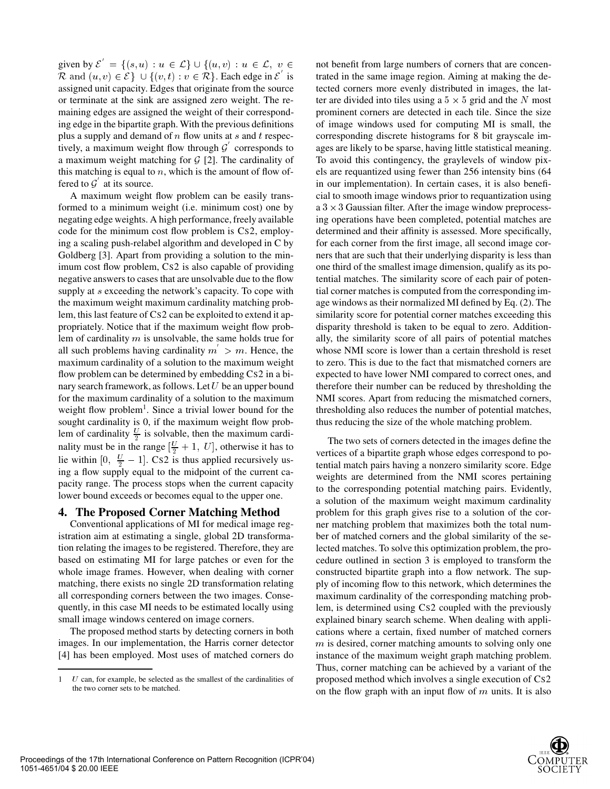given by  $\mathcal{E} = \{(s, u) : u \in \mathcal{L}\} \cup \{(u, v) : u \in \mathcal{L}, v \in \mathcal{L}\}$  $\mathcal{R}$  and  $(u, v) \in \mathcal{E}$   $\} \cup \{(v, t) : v \in \mathcal{R}\}$ . Each edge in  $\mathcal{E}$  is t assigned unit capacity. Edges that originate from the source or terminate at the sink are assigned zero weight. The remaining edges are assigned the weight of their corresponding edge in the bipartite graph. With the previous definitions plus a supply and demand of  $n$  flow units at  $s$  and  $t$  respectively, a maximum weight flow through  $G$  corresponds to a maximum weight matching for  $G$  [2]. The cardinality of this matching is equal to  $n$ , which is the amount of flow offered to  $\mathcal{G}$  at its source.

A maximum weight flow problem can be easily transformed to a minimum weight (i.e. minimum cost) one by negating edge weights. A high performance, freely available code for the minimum cost flow problem is CS2, employing a scaling push-relabel algorithm and developed in C by Goldberg [3]. Apart from providing a solution to the minimum cost flow problem, CS2 is also capable of providing negative answers to cases that are unsolvable due to the flow supply at  $s$  exceeding the network's capacity. To cope with the maximum weight maximum cardinality matching problem, this last feature of CS2 can be exploited to extend it appropriately. Notice that if the maximum weight flow problem of cardinality  $m$  is unsolvable, the same holds true for all such problems having cardinality  $m > m$ . Hence, the maximum cardinality of a solution to the maximum weight flow problem can be determined by embedding CS2 in a binary search framework, as follows. Let  $U$  be an upper bound for the maximum cardinality of a solution to the maximum weight flow problem<sup>1</sup>. Since a trivial lower bound for the sought cardinality is 0, if the maximum weight flow problem of cardinality  $\frac{0}{2}$  is solvable, then the maximum cardinality must be in the range  $[\frac{U}{2} + 1, U]$ , otherwise it has to lie within  $[0, \frac{0}{2} - 1]$ . Cs2 is thus applied recursively using a flow supply equal to the midpoint of the current capacity range. The process stops when the current capacity lower bound exceeds or becomes equal to the upper one.

# **4. The Proposed Corner Matching Method**

Conventional applications of MI for medical image registration aim at estimating a single, global 2D transformation relating the images to be registered. Therefore, they are based on estimating MI for large patches or even for the whole image frames. However, when dealing with corner matching, there exists no single 2D transformation relating all corresponding corners between the two images. Consequently, in this case MI needs to be estimated locally using small image windows centered on image corners.

The proposed method starts by detecting corners in both images. In our implementation, the Harris corner detector [4] has been employed. Most uses of matched corners do

 not benefit from large numbers of corners that are concentrated in the same image region. Aiming at making the detected corners more evenly distributed in images, the latter are divided into tiles using a  $5 \times 5$  grid and the N most prominent corners are detected in each tile. Since the size of image windows used for computing MI is small, the corresponding discrete histograms for 8 bit grayscale images are likely to be sparse, having little statistical meaning. To avoid this contingency, the graylevels of window pixels are requantized using fewer than 256 intensity bins (64 in our implementation). In certain cases, it is also beneficial to smooth image windows prior to requantization using  $a$  3  $\times$  3 Gaussian filter. After the image window preprocessing operations have been completed, potential matches are determined and their affinity is assessed. More specifically, for each corner from the first image, all second image corners that are such that their underlying disparity is less than one third of the smallest image dimension, qualify as its potential matches. The similarity score of each pair of potential corner matches is computed from the corresponding image windows as their normalized MI defined by Eq. (2). The similarity score for potential corner matches exceeding this disparity threshold is taken to be equal to zero. Additionally, the similarity score of all pairs of potential matches whose NMI score is lower than a certain threshold is reset to zero. This is due to the fact that mismatched corners are expected to have lower NMI compared to correct ones, and therefore their number can be reduced by thresholding the NMI scores. Apart from reducing the mismatched corners, thresholding also reduces the number of potential matches, thus reducing the size of the whole matching problem.

The two sets of corners detected in the images define the vertices of a bipartite graph whose edges correspond to potential match pairs having a nonzero similarity score. Edge weights are determined from the NMI scores pertaining to the corresponding potential matching pairs. Evidently, a solution of the maximum weight maximum cardinality problem for this graph gives rise to a solution of the corner matching problem that maximizes both the total number of matched corners and the global similarity of the selected matches. To solve this optimization problem, the procedure outlined in section 3 is employed to transform the constructed bipartite graph into a flow network. The supply of incoming flow to this network, which determines the maximum cardinality of the corresponding matching problem, is determined using CS2 coupled with the previously explained binary search scheme. When dealing with applications where a certain, fixed number of matched corners  $m$  is desired, corner matching amounts to solving only one instance of the maximum weight graph matching problem. Thus, corner matching can be achieved by a variant of the proposed method which involves a single execution of CS2 on the flow graph with an input flow of  $m$  units. It is also



 $1$   $U$  can, for example, be selected as the smallest of the cardinalities of the two corner sets to be matched.